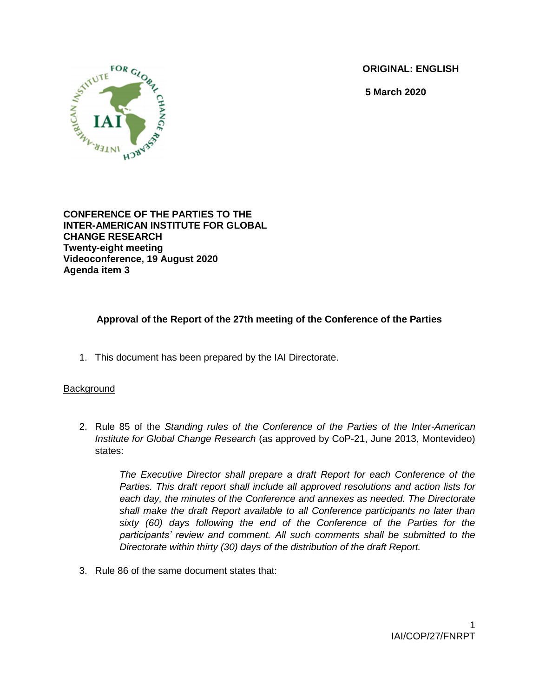**ORIGINAL: ENGLISH**

**5 March 2020**



**CONFERENCE OF THE PARTIES TO THE INTER-AMERICAN INSTITUTE FOR GLOBAL CHANGE RESEARCH Twenty-eight meeting Videoconference, 19 August 2020 Agenda item 3**

# **Approval of the Report of the 27th meeting of the Conference of the Parties**

1. This document has been prepared by the IAI Directorate.

## **Background**

2. Rule 85 of the *Standing rules of the Conference of the Parties of the Inter-American Institute for Global Change Research* (as approved by CoP-21, June 2013, Montevideo) states:

*The Executive Director shall prepare a draft Report for each Conference of the Parties. This draft report shall include all approved resolutions and action lists for each day, the minutes of the Conference and annexes as needed. The Directorate shall make the draft Report available to all Conference participants no later than sixty (60) days following the end of the Conference of the Parties for the participants' review and comment. All such comments shall be submitted to the Directorate within thirty (30) days of the distribution of the draft Report.*

3. Rule 86 of the same document states that: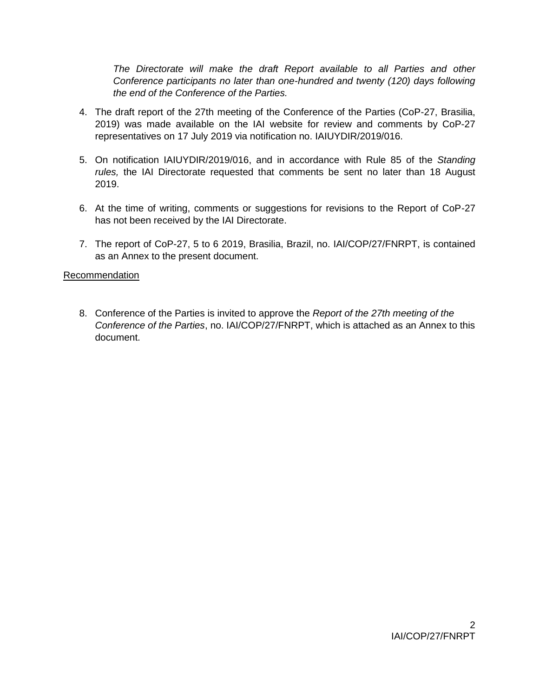*The Directorate will make the draft Report available to all Parties and other Conference participants no later than one-hundred and twenty (120) days following the end of the Conference of the Parties.*

- 4. The draft report of the 27th meeting of the Conference of the Parties (CoP-27, Brasilia, 2019) was made available on the IAI website for review and comments by CoP-27 representatives on 17 July 2019 via notification no. IAIUYDIR/2019/016.
- 5. On notification IAIUYDIR/2019/016, and in accordance with Rule 85 of the *Standing rules,* the IAI Directorate requested that comments be sent no later than 18 August 2019.
- 6. At the time of writing, comments or suggestions for revisions to the Report of CoP-27 has not been received by the IAI Directorate.
- 7. The report of CoP-27, 5 to 6 2019, Brasilia, Brazil, no. IAI/COP/27/FNRPT, is contained as an Annex to the present document.

## Recommendation

8. Conference of the Parties is invited to approve the *Report of the 27th meeting of the Conference of the Parties*, no. IAI/COP/27/FNRPT, which is attached as an Annex to this document.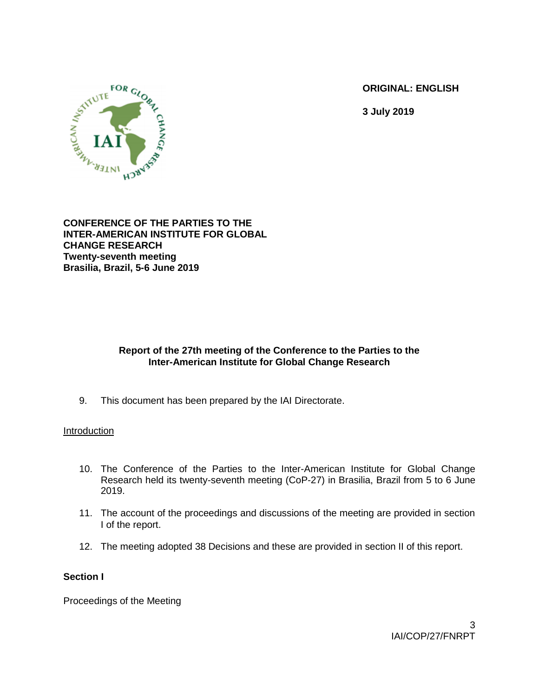**ORIGINAL: ENGLISH**

**3 July 2019**



**CONFERENCE OF THE PARTIES TO THE INTER-AMERICAN INSTITUTE FOR GLOBAL CHANGE RESEARCH Twenty-seventh meeting Brasilia, Brazil, 5-6 June 2019**

# **Report of the 27th meeting of the Conference to the Parties to the Inter-American Institute for Global Change Research**

9. This document has been prepared by the IAI Directorate.

## Introduction

- 10. The Conference of the Parties to the Inter-American Institute for Global Change Research held its twenty-seventh meeting (CoP-27) in Brasilia, Brazil from 5 to 6 June 2019.
- 11. The account of the proceedings and discussions of the meeting are provided in section I of the report.
- 12. The meeting adopted 38 Decisions and these are provided in section II of this report.

## **Section I**

Proceedings of the Meeting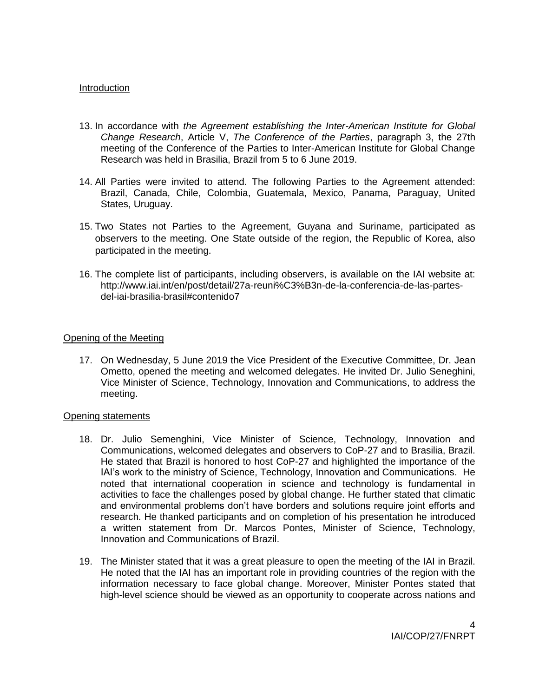### **Introduction**

- 13. In accordance with *the Agreement establishing the Inter-American Institute for Global Change Research*, Article V, *The Conference of the Parties*, paragraph 3, the 27th meeting of the Conference of the Parties to Inter-American Institute for Global Change Research was held in Brasilia, Brazil from 5 to 6 June 2019.
- 14. All Parties were invited to attend. The following Parties to the Agreement attended: Brazil, Canada, Chile, Colombia, Guatemala, Mexico, Panama, Paraguay, United States, Uruguay.
- 15. Two States not Parties to the Agreement, Guyana and Suriname, participated as observers to the meeting. One State outside of the region, the Republic of Korea, also participated in the meeting.
- 16. The complete list of participants, including observers, is available on the IAI website at: http://www.iai.int/en/post/detail/27a-reuni%C3%B3n-de-la-conferencia-de-las-partesdel-iai-brasilia-brasil#contenido7

### Opening of the Meeting

17. On Wednesday, 5 June 2019 the Vice President of the Executive Committee, Dr. Jean Ometto, opened the meeting and welcomed delegates. He invited Dr. Julio Seneghini, Vice Minister of Science, Technology, Innovation and Communications, to address the meeting.

### Opening statements

- 18. Dr. Julio Semenghini, Vice Minister of Science, Technology, Innovation and Communications, welcomed delegates and observers to CoP-27 and to Brasilia, Brazil. He stated that Brazil is honored to host CoP-27 and highlighted the importance of the IAI's work to the ministry of Science, Technology, Innovation and Communications. He noted that international cooperation in science and technology is fundamental in activities to face the challenges posed by global change. He further stated that climatic and environmental problems don't have borders and solutions require joint efforts and research. He thanked participants and on completion of his presentation he introduced a written statement from Dr. Marcos Pontes, Minister of Science, Technology, Innovation and Communications of Brazil.
- 19. The Minister stated that it was a great pleasure to open the meeting of the IAI in Brazil. He noted that the IAI has an important role in providing countries of the region with the information necessary to face global change. Moreover, Minister Pontes stated that high-level science should be viewed as an opportunity to cooperate across nations and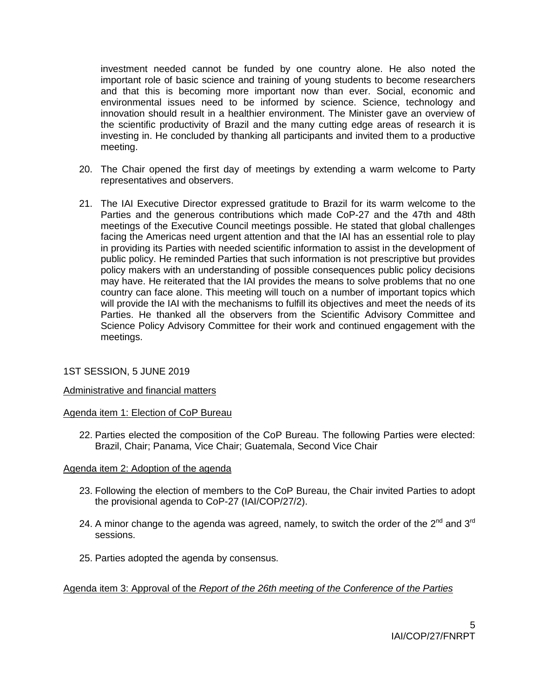investment needed cannot be funded by one country alone. He also noted the important role of basic science and training of young students to become researchers and that this is becoming more important now than ever. Social, economic and environmental issues need to be informed by science. Science, technology and innovation should result in a healthier environment. The Minister gave an overview of the scientific productivity of Brazil and the many cutting edge areas of research it is investing in. He concluded by thanking all participants and invited them to a productive meeting.

- 20. The Chair opened the first day of meetings by extending a warm welcome to Party representatives and observers.
- 21. The IAI Executive Director expressed gratitude to Brazil for its warm welcome to the Parties and the generous contributions which made CoP-27 and the 47th and 48th meetings of the Executive Council meetings possible. He stated that global challenges facing the Americas need urgent attention and that the IAI has an essential role to play in providing its Parties with needed scientific information to assist in the development of public policy. He reminded Parties that such information is not prescriptive but provides policy makers with an understanding of possible consequences public policy decisions may have. He reiterated that the IAI provides the means to solve problems that no one country can face alone. This meeting will touch on a number of important topics which will provide the IAI with the mechanisms to fulfill its objectives and meet the needs of its Parties. He thanked all the observers from the Scientific Advisory Committee and Science Policy Advisory Committee for their work and continued engagement with the meetings.

## 1ST SESSION, 5 JUNE 2019

### Administrative and financial matters

### Agenda item 1: Election of CoP Bureau

22. Parties elected the composition of the CoP Bureau. The following Parties were elected: Brazil, Chair; Panama, Vice Chair; Guatemala, Second Vice Chair

### Agenda item 2: Adoption of the agenda

- 23. Following the election of members to the CoP Bureau, the Chair invited Parties to adopt the provisional agenda to CoP-27 (IAI/COP/27/2).
- 24. A minor change to the agenda was agreed, namely, to switch the order of the  $2^{nd}$  and  $3^{rd}$ sessions.
- 25. Parties adopted the agenda by consensus.

## Agenda item 3: Approval of the *Report of the 26th meeting of the Conference of the Parties*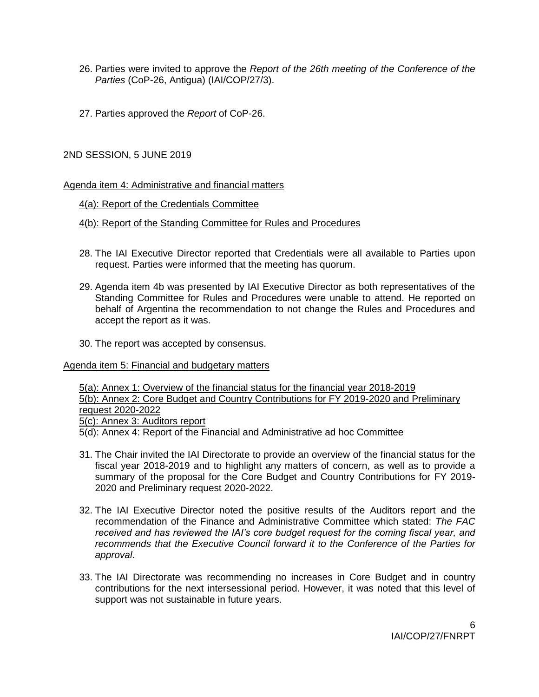- 26. Parties were invited to approve the *Report of the 26th meeting of the Conference of the Parties* (CoP-26, Antigua) (IAI/COP/27/3).
- 27. Parties approved the *Report* of CoP-26.

2ND SESSION, 5 JUNE 2019

Agenda item 4: Administrative and financial matters

4(a): Report of the Credentials Committee

4(b): Report of the Standing Committee for Rules and Procedures

- 28. The IAI Executive Director reported that Credentials were all available to Parties upon request. Parties were informed that the meeting has quorum.
- 29. Agenda item 4b was presented by IAI Executive Director as both representatives of the Standing Committee for Rules and Procedures were unable to attend. He reported on behalf of Argentina the recommendation to not change the Rules and Procedures and accept the report as it was.
- 30. The report was accepted by consensus.

### Agenda item 5: Financial and budgetary matters

5(a): Annex 1: Overview of the financial status for the financial year 2018-2019 5(b): Annex 2: Core Budget and Country Contributions for FY 2019-2020 and Preliminary request 2020-2022 5(c): Annex 3: Auditors report 5(d): Annex 4: Report of the Financial and Administrative ad hoc Committee

- 31. The Chair invited the IAI Directorate to provide an overview of the financial status for the fiscal year 2018-2019 and to highlight any matters of concern, as well as to provide a summary of the proposal for the Core Budget and Country Contributions for FY 2019- 2020 and Preliminary request 2020-2022.
- 32. The IAI Executive Director noted the positive results of the Auditors report and the recommendation of the Finance and Administrative Committee which stated: *The FAC received and has reviewed the IAI's core budget request for the coming fiscal year, and recommends that the Executive Council forward it to the Conference of the Parties for approval*.
- 33. The IAI Directorate was recommending no increases in Core Budget and in country contributions for the next intersessional period. However, it was noted that this level of support was not sustainable in future years.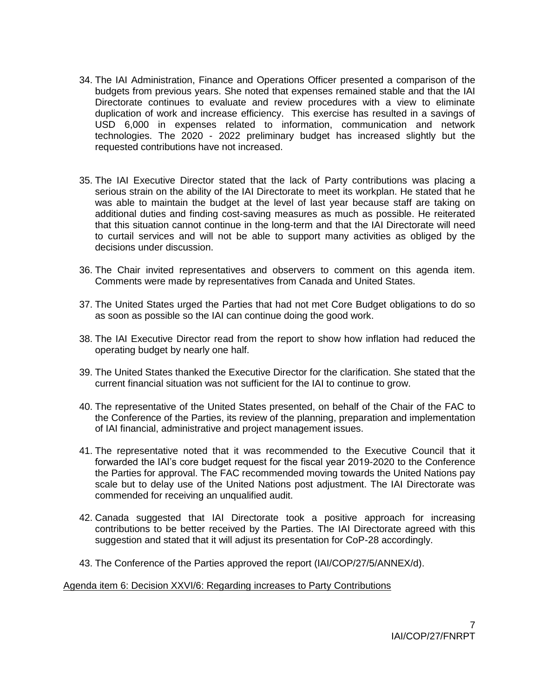- 34. The IAI Administration, Finance and Operations Officer presented a comparison of the budgets from previous years. She noted that expenses remained stable and that the IAI Directorate continues to evaluate and review procedures with a view to eliminate duplication of work and increase efficiency. This exercise has resulted in a savings of USD 6,000 in expenses related to information, communication and network technologies. The 2020 - 2022 preliminary budget has increased slightly but the requested contributions have not increased.
- 35. The IAI Executive Director stated that the lack of Party contributions was placing a serious strain on the ability of the IAI Directorate to meet its workplan. He stated that he was able to maintain the budget at the level of last year because staff are taking on additional duties and finding cost-saving measures as much as possible. He reiterated that this situation cannot continue in the long-term and that the IAI Directorate will need to curtail services and will not be able to support many activities as obliged by the decisions under discussion.
- 36. The Chair invited representatives and observers to comment on this agenda item. Comments were made by representatives from Canada and United States.
- 37. The United States urged the Parties that had not met Core Budget obligations to do so as soon as possible so the IAI can continue doing the good work.
- 38. The IAI Executive Director read from the report to show how inflation had reduced the operating budget by nearly one half.
- 39. The United States thanked the Executive Director for the clarification. She stated that the current financial situation was not sufficient for the IAI to continue to grow.
- 40. The representative of the United States presented, on behalf of the Chair of the FAC to the Conference of the Parties, its review of the planning, preparation and implementation of IAI financial, administrative and project management issues.
- 41. The representative noted that it was recommended to the Executive Council that it forwarded the IAI's core budget request for the fiscal year 2019-2020 to the Conference the Parties for approval. The FAC recommended moving towards the United Nations pay scale but to delay use of the United Nations post adjustment. The IAI Directorate was commended for receiving an unqualified audit.
- 42. Canada suggested that IAI Directorate took a positive approach for increasing contributions to be better received by the Parties. The IAI Directorate agreed with this suggestion and stated that it will adjust its presentation for CoP-28 accordingly.
- 43. The Conference of the Parties approved the report (IAI/COP/27/5/ANNEX/d).

### Agenda item 6: Decision XXVI/6: Regarding increases to Party Contributions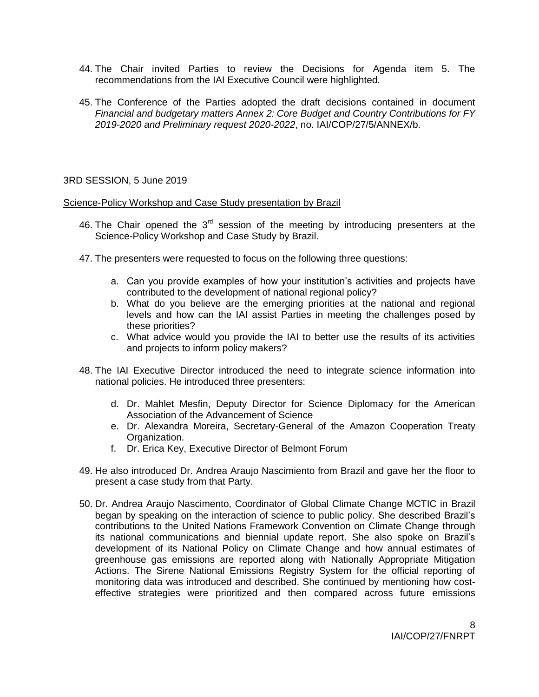- 44. The Chair invited Parties to review the Decisions for Agenda item 5. The recommendations from the IAI Executive Council were highlighted.
- 45. The Conference of the Parties adopted the draft decisions contained in document *Financial and budgetary matters Annex 2: Core Budget and Country Contributions for FY 2019-2020 and Preliminary request 2020-2022*, no. IAI/COP/27/5/ANNEX/b.

## 3RD SESSION, 5 June 2019

### Science-Policy Workshop and Case Study presentation by Brazil

- 46. The Chair opened the  $3<sup>rd</sup>$  session of the meeting by introducing presenters at the Science-Policy Workshop and Case Study by Brazil.
- 47. The presenters were requested to focus on the following three questions:
	- a. Can you provide examples of how your institution's activities and projects have contributed to the development of national regional policy?
	- b. What do you believe are the emerging priorities at the national and regional levels and how can the IAI assist Parties in meeting the challenges posed by these priorities?
	- c. What advice would you provide the IAI to better use the results of its activities and projects to inform policy makers?
- 48. The IAI Executive Director introduced the need to integrate science information into national policies. He introduced three presenters:
	- d. Dr. Mahlet Mesfin, Deputy Director for Science Diplomacy for the American Association of the Advancement of Science
	- e. Dr. Alexandra Moreira, Secretary-General of the Amazon Cooperation Treaty Organization.
	- f. Dr. Erica Key, Executive Director of Belmont Forum
- 49. He also introduced Dr. Andrea Araujo Nascimiento from Brazil and gave her the floor to present a case study from that Party.
- 50. Dr. Andrea Araujo Nascimento, Coordinator of Global Climate Change MCTIC in Brazil began by speaking on the interaction of science to public policy. She described Brazil's contributions to the United Nations Framework Convention on Climate Change through its national communications and biennial update report. She also spoke on Brazil's development of its National Policy on Climate Change and how annual estimates of greenhouse gas emissions are reported along with Nationally Appropriate Mitigation Actions. The Sirene National Emissions Registry System for the official reporting of monitoring data was introduced and described. She continued by mentioning how costeffective strategies were prioritized and then compared across future emissions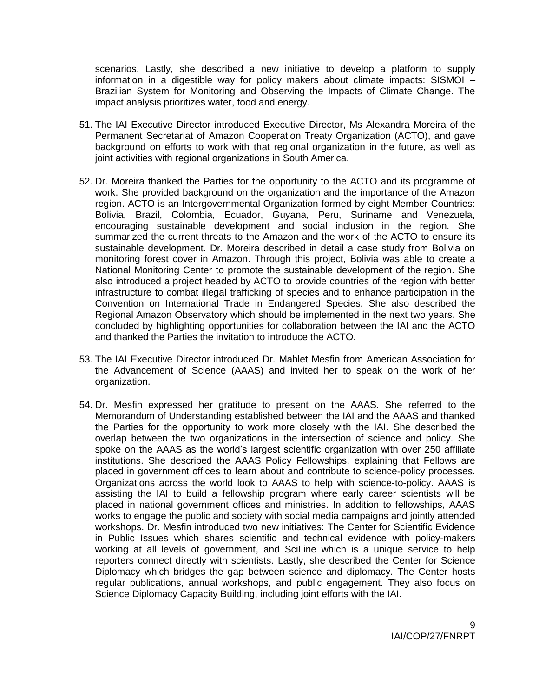scenarios. Lastly, she described a new initiative to develop a platform to supply information in a digestible way for policy makers about climate impacts: SISMOI – Brazilian System for Monitoring and Observing the Impacts of Climate Change. The impact analysis prioritizes water, food and energy.

- 51. The IAI Executive Director introduced Executive Director, Ms Alexandra Moreira of the Permanent Secretariat of Amazon Cooperation Treaty Organization (ACTO), and gave background on efforts to work with that regional organization in the future, as well as joint activities with regional organizations in South America.
- 52. Dr. Moreira thanked the Parties for the opportunity to the ACTO and its programme of work. She provided background on the organization and the importance of the Amazon region. ACTO is an Intergovernmental Organization formed by eight Member Countries: Bolivia, Brazil, Colombia, Ecuador, Guyana, Peru, Suriname and Venezuela, encouraging sustainable development and social inclusion in the region. She summarized the current threats to the Amazon and the work of the ACTO to ensure its sustainable development. Dr. Moreira described in detail a case study from Bolivia on monitoring forest cover in Amazon. Through this project, Bolivia was able to create a National Monitoring Center to promote the sustainable development of the region. She also introduced a project headed by ACTO to provide countries of the region with better infrastructure to combat illegal trafficking of species and to enhance participation in the Convention on International Trade in Endangered Species. She also described the Regional Amazon Observatory which should be implemented in the next two years. She concluded by highlighting opportunities for collaboration between the IAI and the ACTO and thanked the Parties the invitation to introduce the ACTO.
- 53. The IAI Executive Director introduced Dr. Mahlet Mesfin from American Association for the Advancement of Science (AAAS) and invited her to speak on the work of her organization.
- 54. Dr. Mesfin expressed her gratitude to present on the AAAS. She referred to the Memorandum of Understanding established between the IAI and the AAAS and thanked the Parties for the opportunity to work more closely with the IAI. She described the overlap between the two organizations in the intersection of science and policy. She spoke on the AAAS as the world's largest scientific organization with over 250 affiliate institutions. She described the AAAS Policy Fellowships, explaining that Fellows are placed in government offices to learn about and contribute to science-policy processes. Organizations across the world look to AAAS to help with science-to-policy. AAAS is assisting the IAI to build a fellowship program where early career scientists will be placed in national government offices and ministries. In addition to fellowships, AAAS works to engage the public and society with social media campaigns and jointly attended workshops. Dr. Mesfin introduced two new initiatives: The Center for Scientific Evidence in Public Issues which shares scientific and technical evidence with policy-makers working at all levels of government, and SciLine which is a unique service to help reporters connect directly with scientists. Lastly, she described the Center for Science Diplomacy which bridges the gap between science and diplomacy. The Center hosts regular publications, annual workshops, and public engagement. They also focus on Science Diplomacy Capacity Building, including joint efforts with the IAI.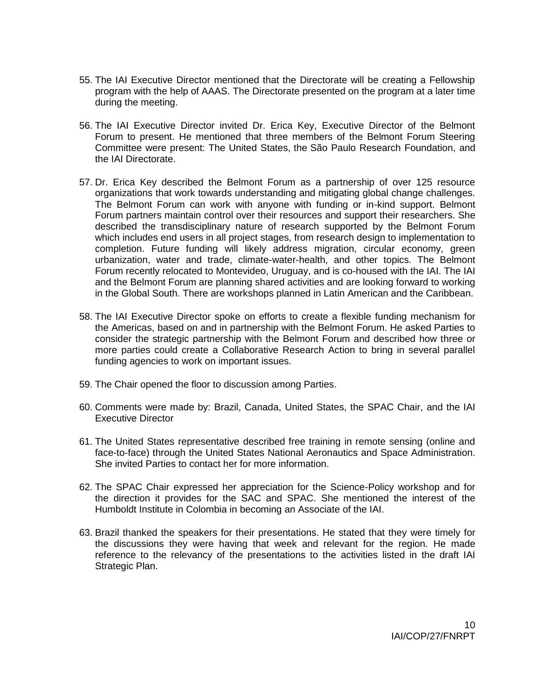- 55. The IAI Executive Director mentioned that the Directorate will be creating a Fellowship program with the help of AAAS. The Directorate presented on the program at a later time during the meeting.
- 56. The IAI Executive Director invited Dr. Erica Key, Executive Director of the Belmont Forum to present. He mentioned that three members of the Belmont Forum Steering Committee were present: The United States, the São Paulo Research Foundation, and the IAI Directorate.
- 57. Dr. Erica Key described the Belmont Forum as a partnership of over 125 resource organizations that work towards understanding and mitigating global change challenges. The Belmont Forum can work with anyone with funding or in-kind support. Belmont Forum partners maintain control over their resources and support their researchers. She described the transdisciplinary nature of research supported by the Belmont Forum which includes end users in all project stages, from research design to implementation to completion. Future funding will likely address migration, circular economy, green urbanization, water and trade, climate-water-health, and other topics. The Belmont Forum recently relocated to Montevideo, Uruguay, and is co-housed with the IAI. The IAI and the Belmont Forum are planning shared activities and are looking forward to working in the Global South. There are workshops planned in Latin American and the Caribbean.
- 58. The IAI Executive Director spoke on efforts to create a flexible funding mechanism for the Americas, based on and in partnership with the Belmont Forum. He asked Parties to consider the strategic partnership with the Belmont Forum and described how three or more parties could create a Collaborative Research Action to bring in several parallel funding agencies to work on important issues.
- 59. The Chair opened the floor to discussion among Parties.
- 60. Comments were made by: Brazil, Canada, United States, the SPAC Chair, and the IAI Executive Director
- 61. The United States representative described free training in remote sensing (online and face-to-face) through the United States National Aeronautics and Space Administration. She invited Parties to contact her for more information.
- 62. The SPAC Chair expressed her appreciation for the Science-Policy workshop and for the direction it provides for the SAC and SPAC. She mentioned the interest of the Humboldt Institute in Colombia in becoming an Associate of the IAI.
- 63. Brazil thanked the speakers for their presentations. He stated that they were timely for the discussions they were having that week and relevant for the region. He made reference to the relevancy of the presentations to the activities listed in the draft IAI Strategic Plan.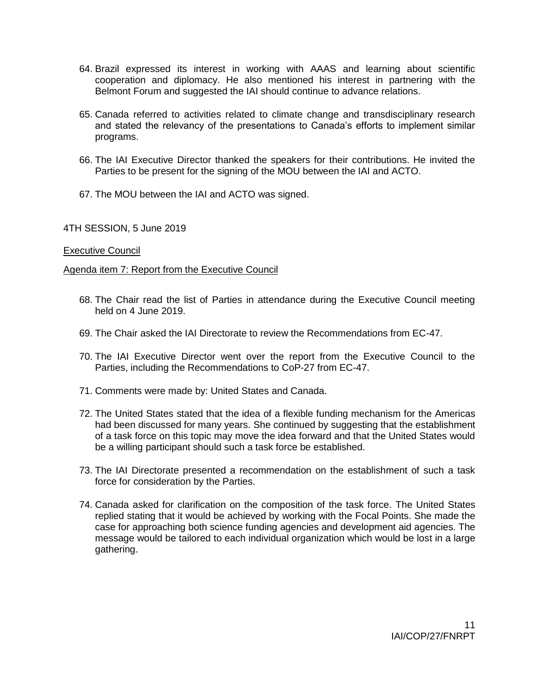- 64. Brazil expressed its interest in working with AAAS and learning about scientific cooperation and diplomacy. He also mentioned his interest in partnering with the Belmont Forum and suggested the IAI should continue to advance relations.
- 65. Canada referred to activities related to climate change and transdisciplinary research and stated the relevancy of the presentations to Canada's efforts to implement similar programs.
- 66. The IAI Executive Director thanked the speakers for their contributions. He invited the Parties to be present for the signing of the MOU between the IAI and ACTO.
- 67. The MOU between the IAI and ACTO was signed.

4TH SESSION, 5 June 2019

### Executive Council

Agenda item 7: Report from the Executive Council

- 68. The Chair read the list of Parties in attendance during the Executive Council meeting held on 4 June 2019.
- 69. The Chair asked the IAI Directorate to review the Recommendations from EC-47.
- 70. The IAI Executive Director went over the report from the Executive Council to the Parties, including the Recommendations to CoP-27 from EC-47.
- 71. Comments were made by: United States and Canada.
- 72. The United States stated that the idea of a flexible funding mechanism for the Americas had been discussed for many years. She continued by suggesting that the establishment of a task force on this topic may move the idea forward and that the United States would be a willing participant should such a task force be established.
- 73. The IAI Directorate presented a recommendation on the establishment of such a task force for consideration by the Parties.
- 74. Canada asked for clarification on the composition of the task force. The United States replied stating that it would be achieved by working with the Focal Points. She made the case for approaching both science funding agencies and development aid agencies. The message would be tailored to each individual organization which would be lost in a large gathering.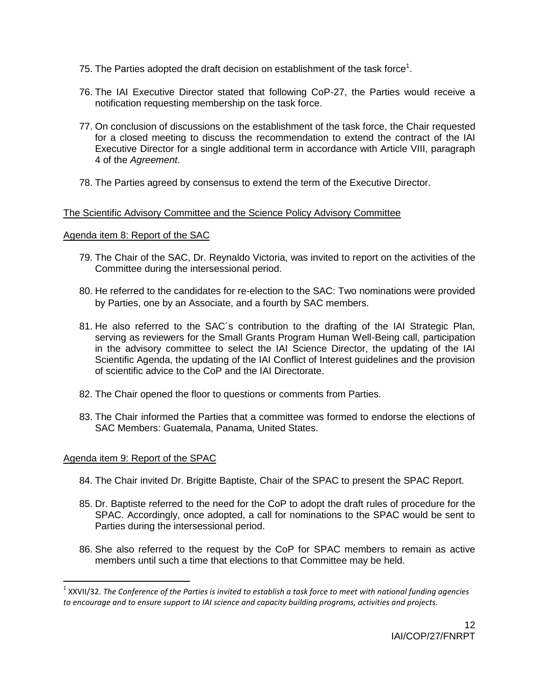- 75. The Parties adopted the draft decision on establishment of the task force<sup>1</sup>.
- 76. The IAI Executive Director stated that following CoP-27, the Parties would receive a notification requesting membership on the task force.
- 77. On conclusion of discussions on the establishment of the task force, the Chair requested for a closed meeting to discuss the recommendation to extend the contract of the IAI Executive Director for a single additional term in accordance with Article VIII, paragraph 4 of the *Agreement*.
- 78. The Parties agreed by consensus to extend the term of the Executive Director.

## The Scientific Advisory Committee and the Science Policy Advisory Committee

## Agenda item 8: Report of the SAC

- 79. The Chair of the SAC, Dr. Reynaldo Victoria, was invited to report on the activities of the Committee during the intersessional period.
- 80. He referred to the candidates for re-election to the SAC: Two nominations were provided by Parties, one by an Associate, and a fourth by SAC members.
- 81. He also referred to the SAC´s contribution to the drafting of the IAI Strategic Plan, serving as reviewers for the Small Grants Program Human Well-Being call, participation in the advisory committee to select the IAI Science Director, the updating of the IAI Scientific Agenda, the updating of the IAI Conflict of Interest quidelines and the provision of scientific advice to the CoP and the IAI Directorate.
- 82. The Chair opened the floor to questions or comments from Parties.
- 83. The Chair informed the Parties that a committee was formed to endorse the elections of SAC Members: Guatemala, Panama, United States.

## Agenda item 9: Report of the SPAC

l

- 84. The Chair invited Dr. Brigitte Baptiste, Chair of the SPAC to present the SPAC Report.
- 85. Dr. Baptiste referred to the need for the CoP to adopt the draft rules of procedure for the SPAC. Accordingly, once adopted, a call for nominations to the SPAC would be sent to Parties during the intersessional period.
- 86. She also referred to the request by the CoP for SPAC members to remain as active members until such a time that elections to that Committee may be held.

<sup>1</sup> XXVII/32. *The Conference of the Parties is invited to establish a task force to meet with national funding agencies to encourage and to ensure support to IAI science and capacity building programs, activities and projects.*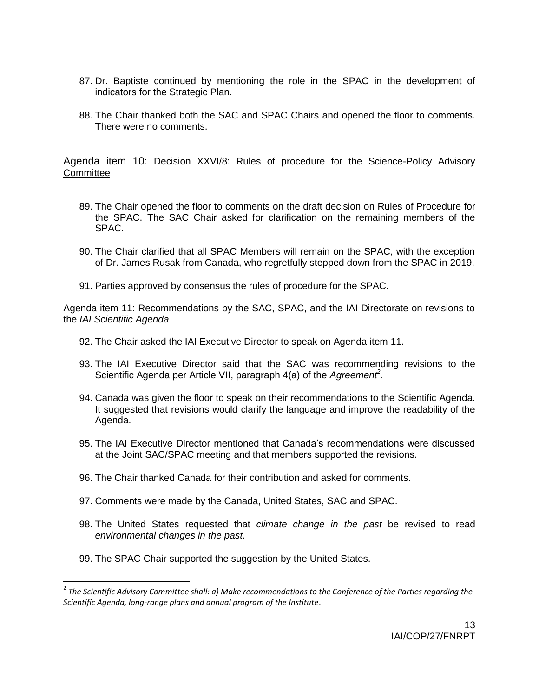- 87. Dr. Baptiste continued by mentioning the role in the SPAC in the development of indicators for the Strategic Plan.
- 88. The Chair thanked both the SAC and SPAC Chairs and opened the floor to comments. There were no comments.

### Agenda item 10: Decision XXVI/8: Rules of procedure for the Science-Policy Advisory **Committee**

- 89. The Chair opened the floor to comments on the draft decision on Rules of Procedure for the SPAC. The SAC Chair asked for clarification on the remaining members of the SPAC.
- 90. The Chair clarified that all SPAC Members will remain on the SPAC, with the exception of Dr. James Rusak from Canada, who regretfully stepped down from the SPAC in 2019.
- 91. Parties approved by consensus the rules of procedure for the SPAC.

### Agenda item 11: Recommendations by the SAC, SPAC, and the IAI Directorate on revisions to the *IAI Scientific Agenda*

- 92. The Chair asked the IAI Executive Director to speak on Agenda item 11.
- 93. The IAI Executive Director said that the SAC was recommending revisions to the Scientific Agenda per Article VII, paragraph 4(a) of the *Agreement<sup>2</sup> .*
- 94. Canada was given the floor to speak on their recommendations to the Scientific Agenda. It suggested that revisions would clarify the language and improve the readability of the Agenda.
- 95. The IAI Executive Director mentioned that Canada's recommendations were discussed at the Joint SAC/SPAC meeting and that members supported the revisions.
- 96. The Chair thanked Canada for their contribution and asked for comments.
- 97. Comments were made by the Canada, United States, SAC and SPAC.
- 98. The United States requested that *climate change in the past* be revised to read *environmental changes in the past*.
- 99. The SPAC Chair supported the suggestion by the United States.

l

<sup>&</sup>lt;sup>2</sup> The Scientific Advisory Committee shall: a) Make recommendations to the Conference of the Parties regarding the *Scientific Agenda, long-range plans and annual program of the Institute*.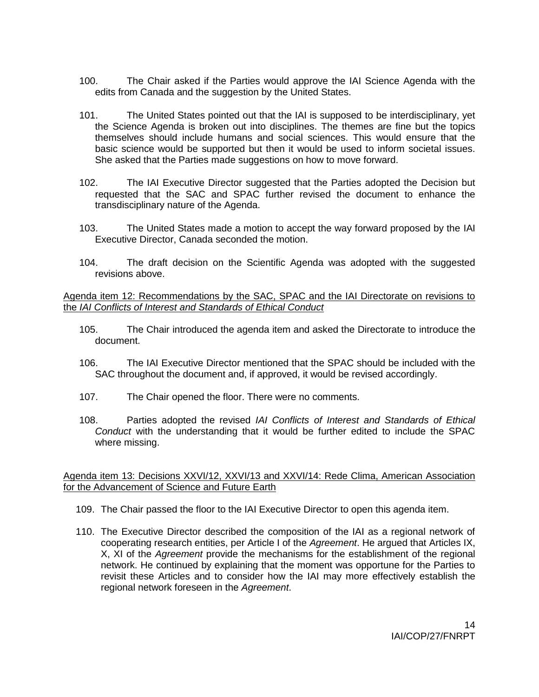- 100. The Chair asked if the Parties would approve the IAI Science Agenda with the edits from Canada and the suggestion by the United States.
- 101. The United States pointed out that the IAI is supposed to be interdisciplinary, yet the Science Agenda is broken out into disciplines. The themes are fine but the topics themselves should include humans and social sciences. This would ensure that the basic science would be supported but then it would be used to inform societal issues. She asked that the Parties made suggestions on how to move forward.
- 102. The IAI Executive Director suggested that the Parties adopted the Decision but requested that the SAC and SPAC further revised the document to enhance the transdisciplinary nature of the Agenda.
- 103. The United States made a motion to accept the way forward proposed by the IAI Executive Director, Canada seconded the motion.
- 104. The draft decision on the Scientific Agenda was adopted with the suggested revisions above.

### Agenda item 12: Recommendations by the SAC, SPAC and the IAI Directorate on revisions to the *IAI Conflicts of Interest and Standards of Ethical Conduct*

- 105. The Chair introduced the agenda item and asked the Directorate to introduce the document.
- 106. The IAI Executive Director mentioned that the SPAC should be included with the SAC throughout the document and, if approved, it would be revised accordingly.
- 107. The Chair opened the floor. There were no comments.
- 108. Parties adopted the revised *IAI Conflicts of Interest and Standards of Ethical Conduct* with the understanding that it would be further edited to include the SPAC where missing.

### Agenda item 13: Decisions XXVI/12, XXVI/13 and XXVI/14: Rede Clima, American Association for the Advancement of Science and Future Earth

- 109. The Chair passed the floor to the IAI Executive Director to open this agenda item.
- 110. The Executive Director described the composition of the IAI as a regional network of cooperating research entities, per Article I of the *Agreement*. He argued that Articles IX, X, XI of the *Agreement* provide the mechanisms for the establishment of the regional network. He continued by explaining that the moment was opportune for the Parties to revisit these Articles and to consider how the IAI may more effectively establish the regional network foreseen in the *Agreement*.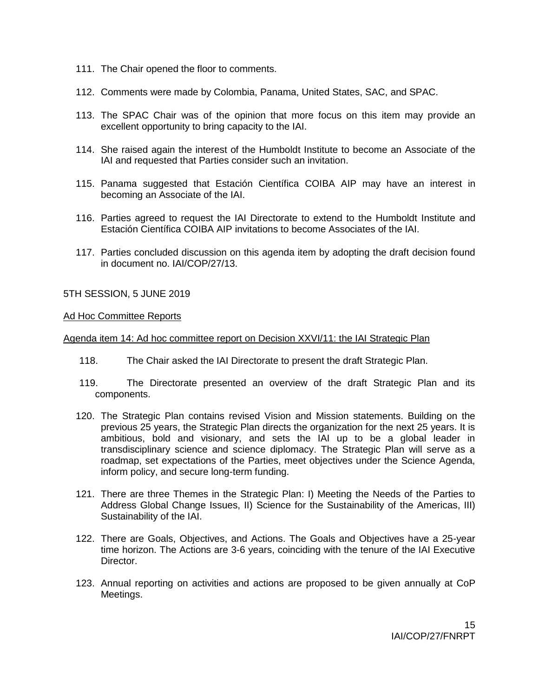- 111. The Chair opened the floor to comments.
- 112. Comments were made by Colombia, Panama, United States, SAC, and SPAC.
- 113. The SPAC Chair was of the opinion that more focus on this item may provide an excellent opportunity to bring capacity to the IAI.
- 114. She raised again the interest of the Humboldt Institute to become an Associate of the IAI and requested that Parties consider such an invitation.
- 115. Panama suggested that Estación Científica COIBA AIP may have an interest in becoming an Associate of the IAI.
- 116. Parties agreed to request the IAI Directorate to extend to the Humboldt Institute and Estación Científica COIBA AIP invitations to become Associates of the IAI.
- 117. Parties concluded discussion on this agenda item by adopting the draft decision found in document no. IAI/COP/27/13.

5TH SESSION, 5 JUNE 2019

### Ad Hoc Committee Reports

### Agenda item 14: Ad hoc committee report on Decision XXVI/11: the IAI Strategic Plan

- 118. The Chair asked the IAI Directorate to present the draft Strategic Plan.
- 119. The Directorate presented an overview of the draft Strategic Plan and its components.
- 120. The Strategic Plan contains revised Vision and Mission statements. Building on the previous 25 years, the Strategic Plan directs the organization for the next 25 years. It is ambitious, bold and visionary, and sets the IAI up to be a global leader in transdisciplinary science and science diplomacy. The Strategic Plan will serve as a roadmap, set expectations of the Parties, meet objectives under the Science Agenda, inform policy, and secure long-term funding.
- 121. There are three Themes in the Strategic Plan: I) Meeting the Needs of the Parties to Address Global Change Issues, II) Science for the Sustainability of the Americas, III) Sustainability of the IAI.
- 122. There are Goals, Objectives, and Actions. The Goals and Objectives have a 25-year time horizon. The Actions are 3-6 years, coinciding with the tenure of the IAI Executive Director.
- 123. Annual reporting on activities and actions are proposed to be given annually at CoP Meetings.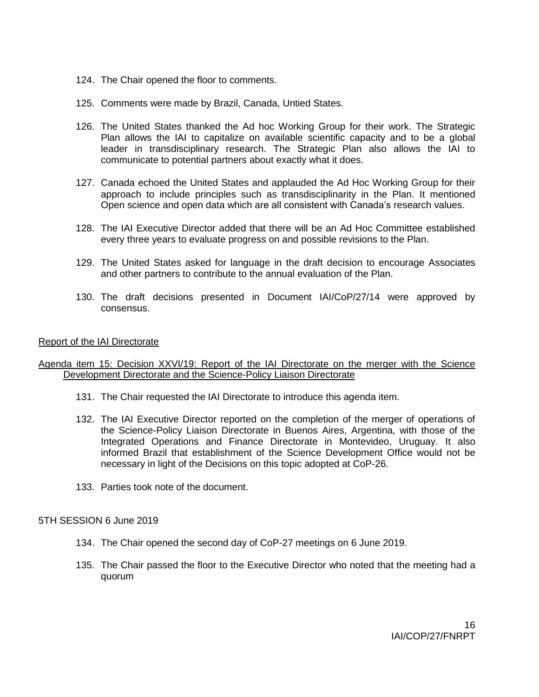- 124. The Chair opened the floor to comments.
- 125. Comments were made by Brazil, Canada, Untied States.
- 126. The United States thanked the Ad hoc Working Group for their work. The Strategic Plan allows the IAI to capitalize on available scientific capacity and to be a global leader in transdisciplinary research. The Strategic Plan also allows the IAI to communicate to potential partners about exactly what it does.
- 127. Canada echoed the United States and applauded the Ad Hoc Working Group for their approach to include principles such as transdisciplinarity in the Plan. It mentioned Open science and open data which are all consistent with Canada's research values.
- 128. The IAI Executive Director added that there will be an Ad Hoc Committee established every three years to evaluate progress on and possible revisions to the Plan.
- 129. The United States asked for language in the draft decision to encourage Associates and other partners to contribute to the annual evaluation of the Plan.
- 130. The draft decisions presented in Document IAI/CoP/27/14 were approved by consensus.

### Report of the IAI Directorate

### Agenda item 15: Decision XXVI/19: Report of the IAI Directorate on the merger with the Science Development Directorate and the Science-Policy Liaison Directorate

- 131. The Chair requested the IAI Directorate to introduce this agenda item.
- 132. The IAI Executive Director reported on the completion of the merger of operations of the Science-Policy Liaison Directorate in Buenos Aires, Argentina, with those of the Integrated Operations and Finance Directorate in Montevideo, Uruguay. It also informed Brazil that establishment of the Science Development Office would not be necessary in light of the Decisions on this topic adopted at CoP-26.
- 133. Parties took note of the document.

### 5TH SESSION 6 June 2019

- 134. The Chair opened the second day of CoP-27 meetings on 6 June 2019.
- 135. The Chair passed the floor to the Executive Director who noted that the meeting had a quorum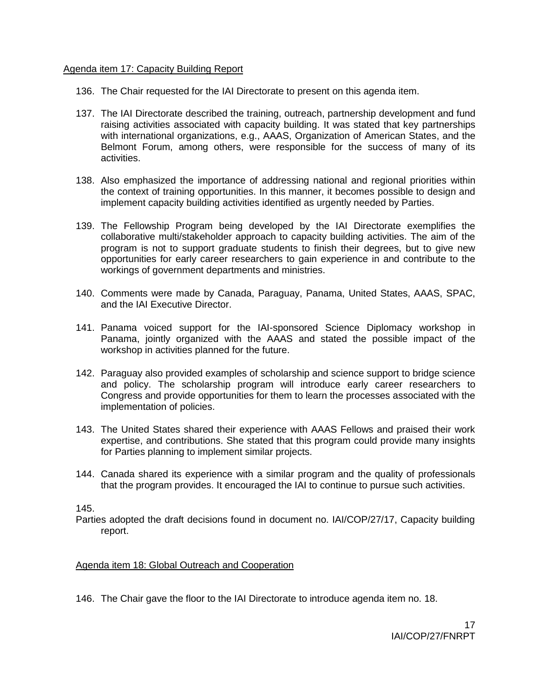### Agenda item 17: Capacity Building Report

- 136. The Chair requested for the IAI Directorate to present on this agenda item.
- 137. The IAI Directorate described the training, outreach, partnership development and fund raising activities associated with capacity building. It was stated that key partnerships with international organizations, e.g., AAAS, Organization of American States, and the Belmont Forum, among others, were responsible for the success of many of its activities.
- 138. Also emphasized the importance of addressing national and regional priorities within the context of training opportunities. In this manner, it becomes possible to design and implement capacity building activities identified as urgently needed by Parties.
- 139. The Fellowship Program being developed by the IAI Directorate exemplifies the collaborative multi/stakeholder approach to capacity building activities. The aim of the program is not to support graduate students to finish their degrees, but to give new opportunities for early career researchers to gain experience in and contribute to the workings of government departments and ministries.
- 140. Comments were made by Canada, Paraguay, Panama, United States, AAAS, SPAC, and the IAI Executive Director.
- 141. Panama voiced support for the IAI-sponsored Science Diplomacy workshop in Panama, jointly organized with the AAAS and stated the possible impact of the workshop in activities planned for the future.
- 142. Paraguay also provided examples of scholarship and science support to bridge science and policy. The scholarship program will introduce early career researchers to Congress and provide opportunities for them to learn the processes associated with the implementation of policies.
- 143. The United States shared their experience with AAAS Fellows and praised their work expertise, and contributions. She stated that this program could provide many insights for Parties planning to implement similar projects.
- 144. Canada shared its experience with a similar program and the quality of professionals that the program provides. It encouraged the IAI to continue to pursue such activities.

145.

Parties adopted the draft decisions found in document no. IAI/COP/27/17, Capacity building report.

## Agenda item 18: Global Outreach and Cooperation

146. The Chair gave the floor to the IAI Directorate to introduce agenda item no. 18.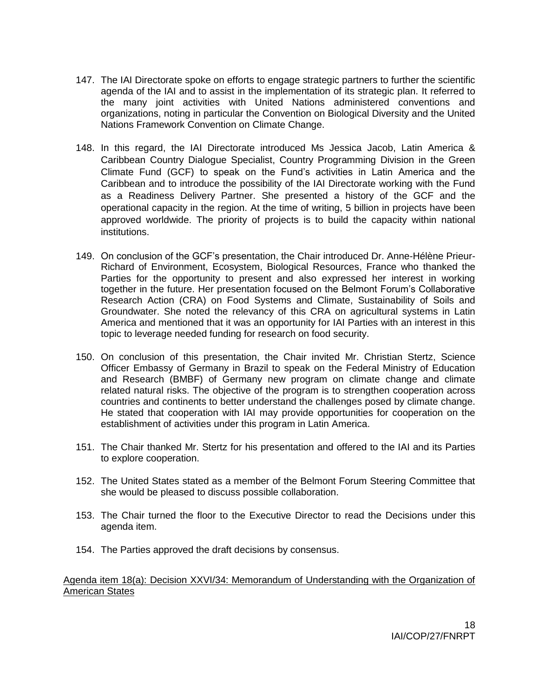- 147. The IAI Directorate spoke on efforts to engage strategic partners to further the scientific agenda of the IAI and to assist in the implementation of its strategic plan. It referred to the many joint activities with United Nations administered conventions and organizations, noting in particular the Convention on Biological Diversity and the United Nations Framework Convention on Climate Change.
- 148. In this regard, the IAI Directorate introduced Ms Jessica Jacob, Latin America & Caribbean Country Dialogue Specialist, Country Programming Division in the Green Climate Fund (GCF) to speak on the Fund's activities in Latin America and the Caribbean and to introduce the possibility of the IAI Directorate working with the Fund as a Readiness Delivery Partner. She presented a history of the GCF and the operational capacity in the region. At the time of writing, 5 billion in projects have been approved worldwide. The priority of projects is to build the capacity within national institutions.
- 149. On conclusion of the GCF's presentation, the Chair introduced Dr. Anne-Hélène Prieur-Richard of Environment, Ecosystem, Biological Resources, France who thanked the Parties for the opportunity to present and also expressed her interest in working together in the future. Her presentation focused on the Belmont Forum's Collaborative Research Action (CRA) on Food Systems and Climate, Sustainability of Soils and Groundwater. She noted the relevancy of this CRA on agricultural systems in Latin America and mentioned that it was an opportunity for IAI Parties with an interest in this topic to leverage needed funding for research on food security.
- 150. On conclusion of this presentation, the Chair invited Mr. Christian Stertz, Science Officer Embassy of Germany in Brazil to speak on the Federal Ministry of Education and Research (BMBF) of Germany new program on climate change and climate related natural risks. The objective of the program is to strengthen cooperation across countries and continents to better understand the challenges posed by climate change. He stated that cooperation with IAI may provide opportunities for cooperation on the establishment of activities under this program in Latin America.
- 151. The Chair thanked Mr. Stertz for his presentation and offered to the IAI and its Parties to explore cooperation.
- 152. The United States stated as a member of the Belmont Forum Steering Committee that she would be pleased to discuss possible collaboration.
- 153. The Chair turned the floor to the Executive Director to read the Decisions under this agenda item.
- 154. The Parties approved the draft decisions by consensus.

### Agenda item 18(a): Decision XXVI/34: Memorandum of Understanding with the Organization of American States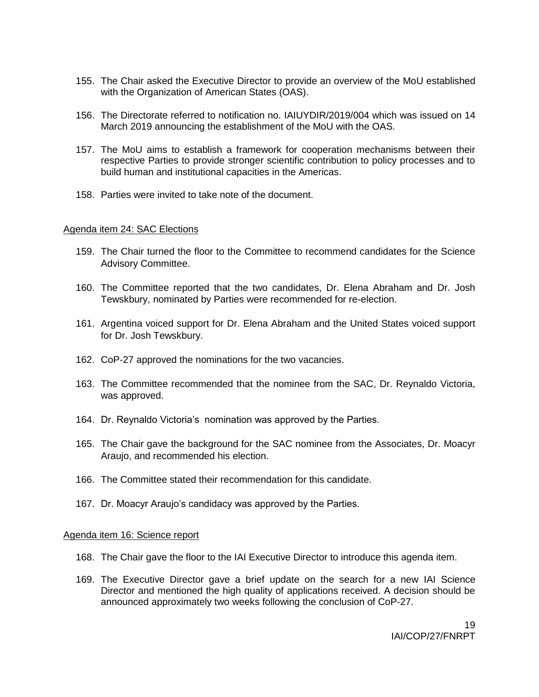- 155. The Chair asked the Executive Director to provide an overview of the MoU established with the Organization of American States (OAS).
- 156. The Directorate referred to notification no. IAIUYDIR/2019/004 which was issued on 14 March 2019 announcing the establishment of the MoU with the OAS.
- 157. The MoU aims to establish a framework for cooperation mechanisms between their respective Parties to provide stronger scientific contribution to policy processes and to build human and institutional capacities in the Americas.
- 158. Parties were invited to take note of the document.

### Agenda item 24: SAC Elections

- 159. The Chair turned the floor to the Committee to recommend candidates for the Science Advisory Committee.
- 160. The Committee reported that the two candidates, Dr. Elena Abraham and Dr. Josh Tewskbury, nominated by Parties were recommended for re-election.
- 161. Argentina voiced support for Dr. Elena Abraham and the United States voiced support for Dr. Josh Tewskbury.
- 162. CoP-27 approved the nominations for the two vacancies.
- 163. The Committee recommended that the nominee from the SAC, Dr. Reynaldo Victoria, was approved.
- 164. Dr. Reynaldo Victoria's nomination was approved by the Parties.
- 165. The Chair gave the background for the SAC nominee from the Associates, Dr. Moacyr Araujo, and recommended his election.
- 166. The Committee stated their recommendation for this candidate.
- 167. Dr. Moacyr Araujo's candidacy was approved by the Parties.

### Agenda item 16: Science report

- 168. The Chair gave the floor to the IAI Executive Director to introduce this agenda item.
- 169. The Executive Director gave a brief update on the search for a new IAI Science Director and mentioned the high quality of applications received. A decision should be announced approximately two weeks following the conclusion of CoP-27.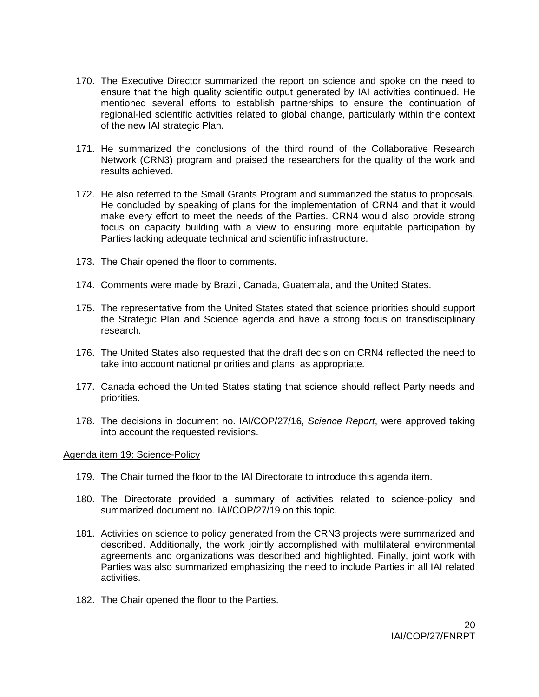- 170. The Executive Director summarized the report on science and spoke on the need to ensure that the high quality scientific output generated by IAI activities continued. He mentioned several efforts to establish partnerships to ensure the continuation of regional-led scientific activities related to global change, particularly within the context of the new IAI strategic Plan.
- 171. He summarized the conclusions of the third round of the Collaborative Research Network (CRN3) program and praised the researchers for the quality of the work and results achieved.
- 172. He also referred to the Small Grants Program and summarized the status to proposals. He concluded by speaking of plans for the implementation of CRN4 and that it would make every effort to meet the needs of the Parties. CRN4 would also provide strong focus on capacity building with a view to ensuring more equitable participation by Parties lacking adequate technical and scientific infrastructure.
- 173. The Chair opened the floor to comments.
- 174. Comments were made by Brazil, Canada, Guatemala, and the United States.
- 175. The representative from the United States stated that science priorities should support the Strategic Plan and Science agenda and have a strong focus on transdisciplinary research.
- 176. The United States also requested that the draft decision on CRN4 reflected the need to take into account national priorities and plans, as appropriate.
- 177. Canada echoed the United States stating that science should reflect Party needs and priorities.
- 178. The decisions in document no. IAI/COP/27/16, *Science Report*, were approved taking into account the requested revisions.

### Agenda item 19: Science-Policy

- 179. The Chair turned the floor to the IAI Directorate to introduce this agenda item.
- 180. The Directorate provided a summary of activities related to science-policy and summarized document no. IAI/COP/27/19 on this topic.
- 181. Activities on science to policy generated from the CRN3 projects were summarized and described. Additionally, the work jointly accomplished with multilateral environmental agreements and organizations was described and highlighted. Finally, joint work with Parties was also summarized emphasizing the need to include Parties in all IAI related activities.
- 182. The Chair opened the floor to the Parties.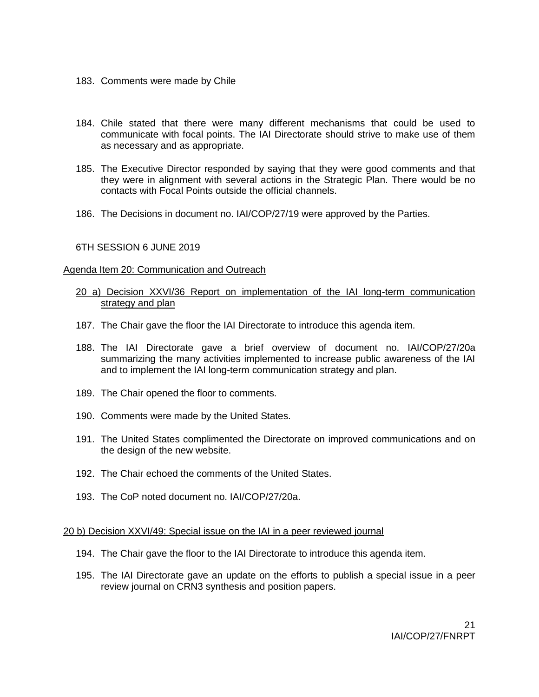- 183. Comments were made by Chile
- 184. Chile stated that there were many different mechanisms that could be used to communicate with focal points. The IAI Directorate should strive to make use of them as necessary and as appropriate.
- 185. The Executive Director responded by saying that they were good comments and that they were in alignment with several actions in the Strategic Plan. There would be no contacts with Focal Points outside the official channels.
- 186. The Decisions in document no. IAI/COP/27/19 were approved by the Parties.

### 6TH SESSION 6 JUNE 2019

#### Agenda Item 20: Communication and Outreach

### 20 a) Decision XXVI/36 Report on implementation of the IAI long-term communication strategy and plan

- 187. The Chair gave the floor the IAI Directorate to introduce this agenda item.
- 188. The IAI Directorate gave a brief overview of document no. IAI/COP/27/20a summarizing the many activities implemented to increase public awareness of the IAI and to implement the IAI long-term communication strategy and plan.
- 189. The Chair opened the floor to comments.
- 190. Comments were made by the United States.
- 191. The United States complimented the Directorate on improved communications and on the design of the new website.
- 192. The Chair echoed the comments of the United States.
- 193. The CoP noted document no. IAI/COP/27/20a.

#### 20 b) Decision XXVI/49: Special issue on the IAI in a peer reviewed journal

- 194. The Chair gave the floor to the IAI Directorate to introduce this agenda item.
- 195. The IAI Directorate gave an update on the efforts to publish a special issue in a peer review journal on CRN3 synthesis and position papers.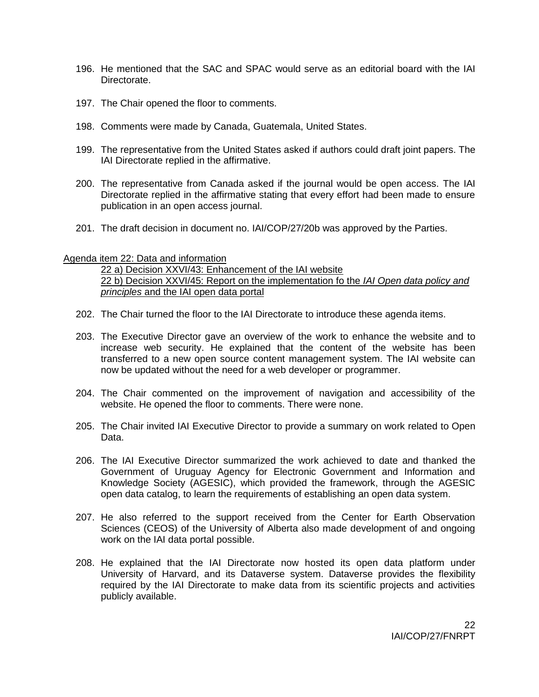- 196. He mentioned that the SAC and SPAC would serve as an editorial board with the IAI **Directorate**
- 197. The Chair opened the floor to comments.
- 198. Comments were made by Canada, Guatemala, United States.
- 199. The representative from the United States asked if authors could draft joint papers. The IAI Directorate replied in the affirmative.
- 200. The representative from Canada asked if the journal would be open access. The IAI Directorate replied in the affirmative stating that every effort had been made to ensure publication in an open access journal.
- 201. The draft decision in document no. IAI/COP/27/20b was approved by the Parties.

### Agenda item 22: Data and information

22 a) Decision XXVI/43: Enhancement of the IAI website 22 b) Decision XXVI/45: Report on the implementation fo the *IAI Open data policy and principles* and the IAI open data portal

- 202. The Chair turned the floor to the IAI Directorate to introduce these agenda items.
- 203. The Executive Director gave an overview of the work to enhance the website and to increase web security. He explained that the content of the website has been transferred to a new open source content management system. The IAI website can now be updated without the need for a web developer or programmer.
- 204. The Chair commented on the improvement of navigation and accessibility of the website. He opened the floor to comments. There were none.
- 205. The Chair invited IAI Executive Director to provide a summary on work related to Open Data.
- 206. The IAI Executive Director summarized the work achieved to date and thanked the Government of Uruguay Agency for Electronic Government and Information and Knowledge Society (AGESIC), which provided the framework, through the AGESIC open data catalog, to learn the requirements of establishing an open data system.
- 207. He also referred to the support received from the Center for Earth Observation Sciences (CEOS) of the University of Alberta also made development of and ongoing work on the IAI data portal possible.
- 208. He explained that the IAI Directorate now hosted its open data platform under University of Harvard, and its Dataverse system. Dataverse provides the flexibility required by the IAI Directorate to make data from its scientific projects and activities publicly available.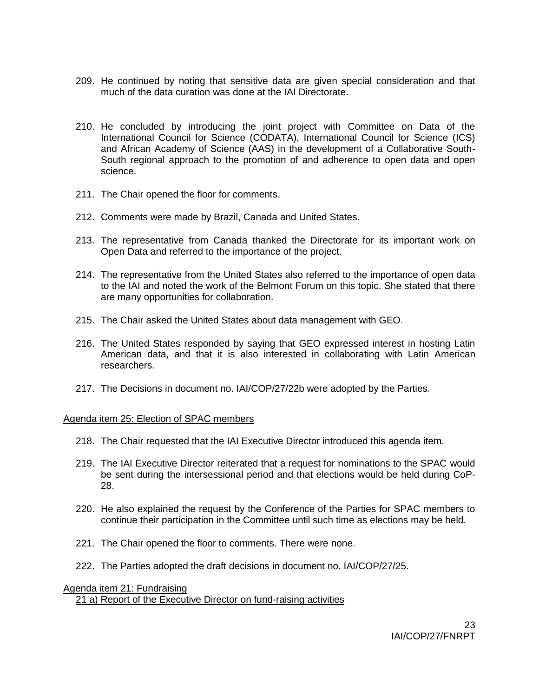- 209. He continued by noting that sensitive data are given special consideration and that much of the data curation was done at the IAI Directorate.
- 210. He concluded by introducing the joint project with Committee on Data of the International Council for Science (CODATA), International Council for Science (ICS) and African Academy of Science (AAS) in the development of a Collaborative South-South regional approach to the promotion of and adherence to open data and open science.
- 211. The Chair opened the floor for comments.
- 212. Comments were made by Brazil, Canada and United States.
- 213. The representative from Canada thanked the Directorate for its important work on Open Data and referred to the importance of the project.
- 214. The representative from the United States also referred to the importance of open data to the IAI and noted the work of the Belmont Forum on this topic. She stated that there are many opportunities for collaboration.
- 215. The Chair asked the United States about data management with GEO.
- 216. The United States responded by saying that GEO expressed interest in hosting Latin American data, and that it is also interested in collaborating with Latin American researchers.
- 217. The Decisions in document no. IAI/COP/27/22b were adopted by the Parties.

### Agenda item 25: Election of SPAC members

- 218. The Chair requested that the IAI Executive Director introduced this agenda item.
- 219. The IAI Executive Director reiterated that a request for nominations to the SPAC would be sent during the intersessional period and that elections would be held during CoP-28.
- 220. He also explained the request by the Conference of the Parties for SPAC members to continue their participation in the Committee until such time as elections may be held.
- 221. The Chair opened the floor to comments. There were none.
- 222. The Parties adopted the draft decisions in document no. IAI/COP/27/25.

### Agenda item 21: Fundraising 21 a) Report of the Executive Director on fund-raising activities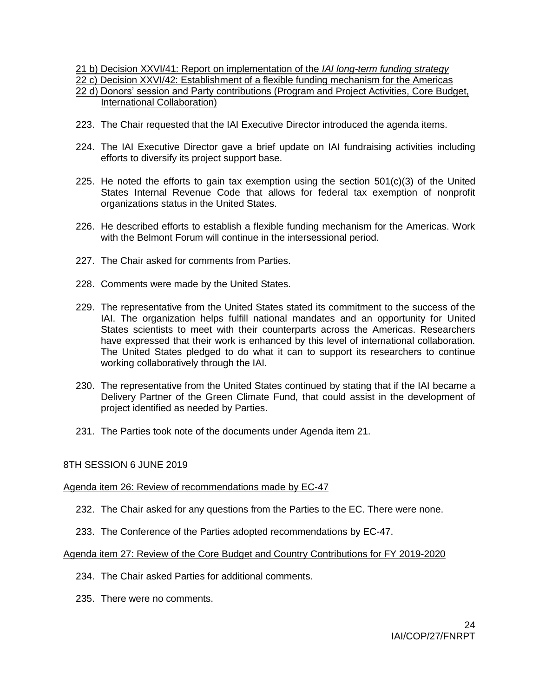21 b) Decision XXVI/41: Report on implementation of the *IAI long-term funding strategy*

22 c) Decision XXVI/42: Establishment of a flexible funding mechanism for the Americas

## 22 d) Donors' session and Party contributions (Program and Project Activities, Core Budget, International Collaboration)

- 223. The Chair requested that the IAI Executive Director introduced the agenda items.
- 224. The IAI Executive Director gave a brief update on IAI fundraising activities including efforts to diversify its project support base.
- 225. He noted the efforts to gain tax exemption using the section  $501(c)(3)$  of the United States Internal Revenue Code that allows for federal tax exemption of nonprofit organizations status in the United States.
- 226. He described efforts to establish a flexible funding mechanism for the Americas. Work with the Belmont Forum will continue in the intersessional period.
- 227. The Chair asked for comments from Parties.
- 228. Comments were made by the United States.
- 229. The representative from the United States stated its commitment to the success of the IAI. The organization helps fulfill national mandates and an opportunity for United States scientists to meet with their counterparts across the Americas. Researchers have expressed that their work is enhanced by this level of international collaboration. The United States pledged to do what it can to support its researchers to continue working collaboratively through the IAI.
- 230. The representative from the United States continued by stating that if the IAI became a Delivery Partner of the Green Climate Fund, that could assist in the development of project identified as needed by Parties.
- 231. The Parties took note of the documents under Agenda item 21.

## 8TH SESSION 6 JUNE 2019

### Agenda item 26: Review of recommendations made by EC-47

- 232. The Chair asked for any questions from the Parties to the EC. There were none.
- 233. The Conference of the Parties adopted recommendations by EC-47.

### Agenda item 27: Review of the Core Budget and Country Contributions for FY 2019-2020

- 234. The Chair asked Parties for additional comments.
- 235. There were no comments.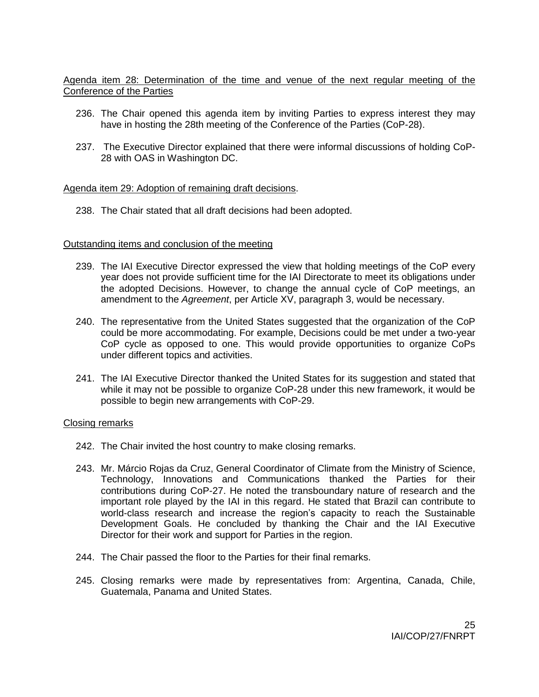Agenda item 28: Determination of the time and venue of the next regular meeting of the Conference of the Parties

- 236. The Chair opened this agenda item by inviting Parties to express interest they may have in hosting the 28th meeting of the Conference of the Parties (CoP-28).
- 237. The Executive Director explained that there were informal discussions of holding CoP-28 with OAS in Washington DC.

### Agenda item 29: Adoption of remaining draft decisions.

238. The Chair stated that all draft decisions had been adopted.

#### Outstanding items and conclusion of the meeting

- 239. The IAI Executive Director expressed the view that holding meetings of the CoP every year does not provide sufficient time for the IAI Directorate to meet its obligations under the adopted Decisions. However, to change the annual cycle of CoP meetings, an amendment to the *Agreement*, per Article XV, paragraph 3, would be necessary.
- 240. The representative from the United States suggested that the organization of the CoP could be more accommodating. For example, Decisions could be met under a two-year CoP cycle as opposed to one. This would provide opportunities to organize CoPs under different topics and activities.
- 241. The IAI Executive Director thanked the United States for its suggestion and stated that while it may not be possible to organize CoP-28 under this new framework, it would be possible to begin new arrangements with CoP-29.

#### Closing remarks

- 242. The Chair invited the host country to make closing remarks.
- 243. Mr. Márcio Rojas da Cruz, General Coordinator of Climate from the Ministry of Science, Technology, Innovations and Communications thanked the Parties for their contributions during CoP-27. He noted the transboundary nature of research and the important role played by the IAI in this regard. He stated that Brazil can contribute to world-class research and increase the region's capacity to reach the Sustainable Development Goals. He concluded by thanking the Chair and the IAI Executive Director for their work and support for Parties in the region.
- 244. The Chair passed the floor to the Parties for their final remarks.
- 245. Closing remarks were made by representatives from: Argentina, Canada, Chile, Guatemala, Panama and United States.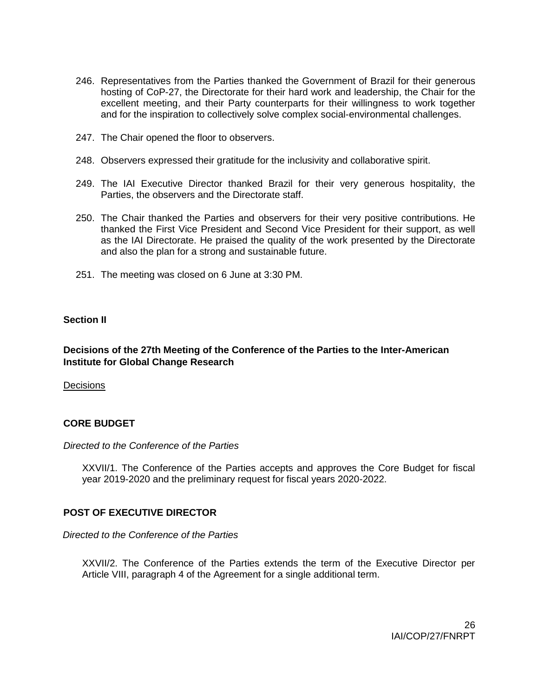- 246. Representatives from the Parties thanked the Government of Brazil for their generous hosting of CoP-27, the Directorate for their hard work and leadership, the Chair for the excellent meeting, and their Party counterparts for their willingness to work together and for the inspiration to collectively solve complex social-environmental challenges.
- 247. The Chair opened the floor to observers.
- 248. Observers expressed their gratitude for the inclusivity and collaborative spirit.
- 249. The IAI Executive Director thanked Brazil for their very generous hospitality, the Parties, the observers and the Directorate staff.
- 250. The Chair thanked the Parties and observers for their very positive contributions. He thanked the First Vice President and Second Vice President for their support, as well as the IAI Directorate. He praised the quality of the work presented by the Directorate and also the plan for a strong and sustainable future.
- 251. The meeting was closed on 6 June at 3:30 PM.

## **Section II**

## **Decisions of the 27th Meeting of the Conference of the Parties to the Inter-American Institute for Global Change Research**

Decisions

## **CORE BUDGET**

### *Directed to the Conference of the Parties*

XXVII/1. The Conference of the Parties accepts and approves the Core Budget for fiscal year 2019-2020 and the preliminary request for fiscal years 2020-2022.

## **POST OF EXECUTIVE DIRECTOR**

### *Directed to the Conference of the Parties*

XXVII/2. The Conference of the Parties extends the term of the Executive Director per Article VIII, paragraph 4 of the Agreement for a single additional term.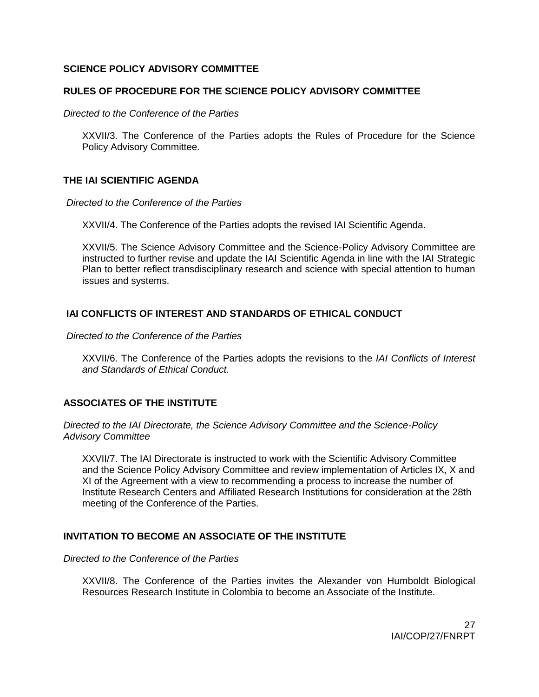### **SCIENCE POLICY ADVISORY COMMITTEE**

### **RULES OF PROCEDURE FOR THE SCIENCE POLICY ADVISORY COMMITTEE**

*Directed to the Conference of the Parties*

XXVII/3. The Conference of the Parties adopts the Rules of Procedure for the Science Policy Advisory Committee.

### **THE IAI SCIENTIFIC AGENDA**

*Directed to the Conference of the Parties*

XXVII/4. The Conference of the Parties adopts the revised IAI Scientific Agenda.

XXVII/5. The Science Advisory Committee and the Science-Policy Advisory Committee are instructed to further revise and update the IAI Scientific Agenda in line with the IAI Strategic Plan to better reflect transdisciplinary research and science with special attention to human issues and systems.

## **IAI CONFLICTS OF INTEREST AND STANDARDS OF ETHICAL CONDUCT**

*Directed to the Conference of the Parties*

XXVII/6. The Conference of the Parties adopts the revisions to the *IAI Conflicts of Interest and Standards of Ethical Conduct.*

## **ASSOCIATES OF THE INSTITUTE**

*Directed to the IAI Directorate, the Science Advisory Committee and the Science-Policy Advisory Committee*

XXVII/7. The IAI Directorate is instructed to work with the Scientific Advisory Committee and the Science Policy Advisory Committee and review implementation of Articles IX, X and XI of the Agreement with a view to recommending a process to increase the number of Institute Research Centers and Affiliated Research Institutions for consideration at the 28th meeting of the Conference of the Parties.

### **INVITATION TO BECOME AN ASSOCIATE OF THE INSTITUTE**

*Directed to the Conference of the Parties*

XXVII/8. The Conference of the Parties invites the Alexander von Humboldt Biological Resources Research Institute in Colombia to become an Associate of the Institute.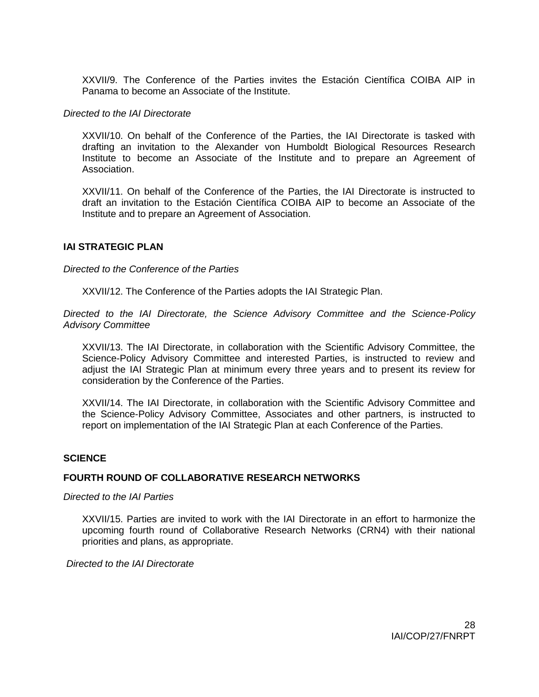XXVII/9. The Conference of the Parties invites the Estación Científica COIBA AIP in Panama to become an Associate of the Institute.

#### *Directed to the IAI Directorate*

XXVII/10. On behalf of the Conference of the Parties, the IAI Directorate is tasked with drafting an invitation to the Alexander von Humboldt Biological Resources Research Institute to become an Associate of the Institute and to prepare an Agreement of Association.

XXVII/11. On behalf of the Conference of the Parties, the IAI Directorate is instructed to draft an invitation to the Estación Científica COIBA AIP to become an Associate of the Institute and to prepare an Agreement of Association.

### **IAI STRATEGIC PLAN**

### *Directed to the Conference of the Parties*

XXVII/12. The Conference of the Parties adopts the IAI Strategic Plan.

*Directed to the IAI Directorate, the Science Advisory Committee and the Science-Policy Advisory Committee*

XXVII/13. The IAI Directorate, in collaboration with the Scientific Advisory Committee, the Science-Policy Advisory Committee and interested Parties, is instructed to review and adjust the IAI Strategic Plan at minimum every three years and to present its review for consideration by the Conference of the Parties.

XXVII/14. The IAI Directorate, in collaboration with the Scientific Advisory Committee and the Science-Policy Advisory Committee, Associates and other partners, is instructed to report on implementation of the IAI Strategic Plan at each Conference of the Parties.

### **SCIENCE**

### **FOURTH ROUND OF COLLABORATIVE RESEARCH NETWORKS**

### *Directed to the IAI Parties*

XXVII/15. Parties are invited to work with the IAI Directorate in an effort to harmonize the upcoming fourth round of Collaborative Research Networks (CRN4) with their national priorities and plans, as appropriate.

*Directed to the IAI Directorate*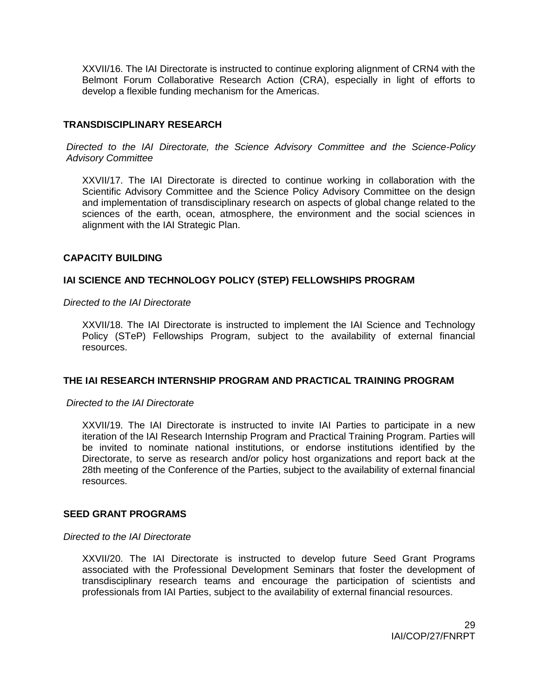XXVII/16. The IAI Directorate is instructed to continue exploring alignment of CRN4 with the Belmont Forum Collaborative Research Action (CRA), especially in light of efforts to develop a flexible funding mechanism for the Americas.

### **TRANSDISCIPLINARY RESEARCH**

*Directed to the IAI Directorate, the Science Advisory Committee and the Science-Policy Advisory Committee*

XXVII/17. The IAI Directorate is directed to continue working in collaboration with the Scientific Advisory Committee and the Science Policy Advisory Committee on the design and implementation of transdisciplinary research on aspects of global change related to the sciences of the earth, ocean, atmosphere, the environment and the social sciences in alignment with the IAI Strategic Plan.

### **CAPACITY BUILDING**

### **IAI SCIENCE AND TECHNOLOGY POLICY (STEP) FELLOWSHIPS PROGRAM**

*Directed to the IAI Directorate*

XXVII/18. The IAI Directorate is instructed to implement the IAI Science and Technology Policy (STeP) Fellowships Program, subject to the availability of external financial resources.

### **THE IAI RESEARCH INTERNSHIP PROGRAM AND PRACTICAL TRAINING PROGRAM**

#### *Directed to the IAI Directorate*

XXVII/19. The IAI Directorate is instructed to invite IAI Parties to participate in a new iteration of the IAI Research Internship Program and Practical Training Program. Parties will be invited to nominate national institutions, or endorse institutions identified by the Directorate, to serve as research and/or policy host organizations and report back at the 28th meeting of the Conference of the Parties, subject to the availability of external financial resources.

### **SEED GRANT PROGRAMS**

#### *Directed to the IAI Directorate*

XXVII/20. The IAI Directorate is instructed to develop future Seed Grant Programs associated with the Professional Development Seminars that foster the development of transdisciplinary research teams and encourage the participation of scientists and professionals from IAI Parties, subject to the availability of external financial resources.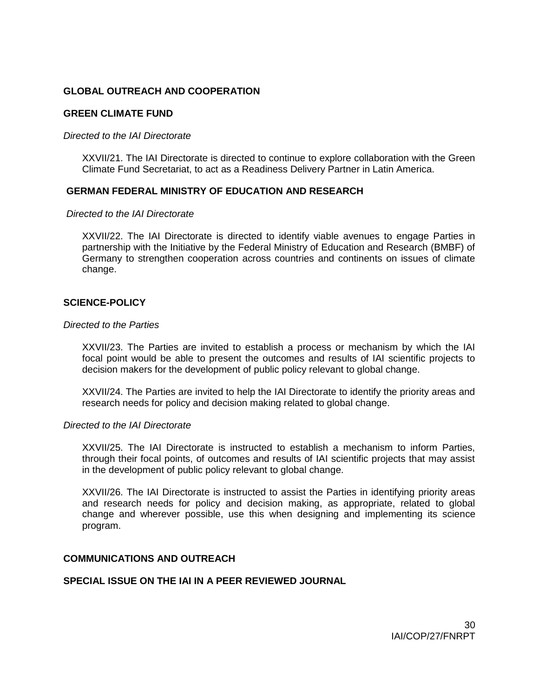### **GLOBAL OUTREACH AND COOPERATION**

### **GREEN CLIMATE FUND**

#### *Directed to the IAI Directorate*

XXVII/21. The IAI Directorate is directed to continue to explore collaboration with the Green Climate Fund Secretariat, to act as a Readiness Delivery Partner in Latin America.

### **GERMAN FEDERAL MINISTRY OF EDUCATION AND RESEARCH**

#### *Directed to the IAI Directorate*

XXVII/22. The IAI Directorate is directed to identify viable avenues to engage Parties in partnership with the Initiative by the Federal Ministry of Education and Research (BMBF) of Germany to strengthen cooperation across countries and continents on issues of climate change.

### **SCIENCE-POLICY**

#### *Directed to the Parties*

XXVII/23. The Parties are invited to establish a process or mechanism by which the IAI focal point would be able to present the outcomes and results of IAI scientific projects to decision makers for the development of public policy relevant to global change.

XXVII/24. The Parties are invited to help the IAI Directorate to identify the priority areas and research needs for policy and decision making related to global change.

#### *Directed to the IAI Directorate*

XXVII/25. The IAI Directorate is instructed to establish a mechanism to inform Parties, through their focal points, of outcomes and results of IAI scientific projects that may assist in the development of public policy relevant to global change.

XXVII/26. The IAI Directorate is instructed to assist the Parties in identifying priority areas and research needs for policy and decision making, as appropriate, related to global change and wherever possible, use this when designing and implementing its science program.

### **COMMUNICATIONS AND OUTREACH**

## **SPECIAL ISSUE ON THE IAI IN A PEER REVIEWED JOURNAL**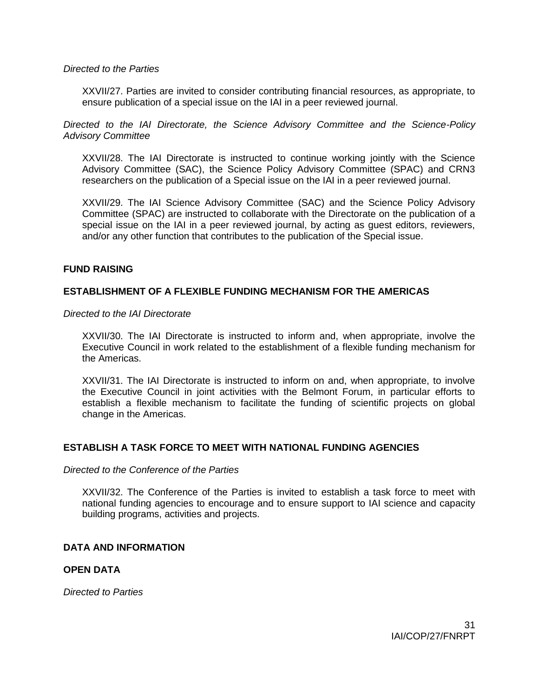#### *Directed to the Parties*

XXVII/27. Parties are invited to consider contributing financial resources, as appropriate, to ensure publication of a special issue on the IAI in a peer reviewed journal.

*Directed to the IAI Directorate, the Science Advisory Committee and the Science-Policy Advisory Committee*

XXVII/28. The IAI Directorate is instructed to continue working jointly with the Science Advisory Committee (SAC), the Science Policy Advisory Committee (SPAC) and CRN3 researchers on the publication of a Special issue on the IAI in a peer reviewed journal.

XXVII/29. The IAI Science Advisory Committee (SAC) and the Science Policy Advisory Committee (SPAC) are instructed to collaborate with the Directorate on the publication of a special issue on the IAI in a peer reviewed journal, by acting as guest editors, reviewers, and/or any other function that contributes to the publication of the Special issue.

### **FUND RAISING**

### **ESTABLISHMENT OF A FLEXIBLE FUNDING MECHANISM FOR THE AMERICAS**

*Directed to the IAI Directorate*

XXVII/30. The IAI Directorate is instructed to inform and, when appropriate, involve the Executive Council in work related to the establishment of a flexible funding mechanism for the Americas.

XXVII/31. The IAI Directorate is instructed to inform on and, when appropriate, to involve the Executive Council in joint activities with the Belmont Forum, in particular efforts to establish a flexible mechanism to facilitate the funding of scientific projects on global change in the Americas.

### **ESTABLISH A TASK FORCE TO MEET WITH NATIONAL FUNDING AGENCIES**

#### *Directed to the Conference of the Parties*

XXVII/32. The Conference of the Parties is invited to establish a task force to meet with national funding agencies to encourage and to ensure support to IAI science and capacity building programs, activities and projects.

### **DATA AND INFORMATION**

### **OPEN DATA**

*Directed to Parties*